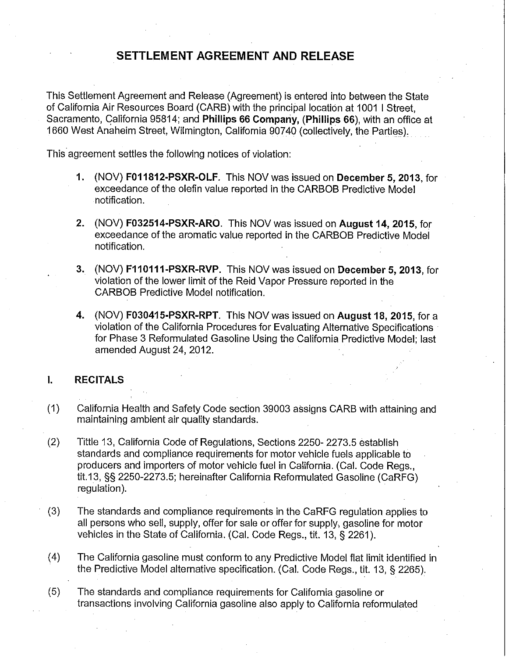# **SETTLEMENT AGREEMENT AND RELEASE**

This Settlement Agreement and Release (Agreement) is entered into between the State of California Air Resources Board (CARB) with the principal location at 1001 I Street, Sacramento, qalifornia 95814; and **Phillips 66 Company, (Phillips 66),** with an office at 1660 West Anaheim Street, Wilmington, California 90740 (collectively, the Parties).

This agreement settles the following notices of violation:

- **1.** (NOV) **F011812-PSXR-OLF.** This NOV was issued on **December 5, 2013,** for exceedance of the olefin value reported in the CARBOB Predictive Model notification.
- **2.** (NOV) **F032514-PSXR-ARO.** This NOV was issued on **August 14, 2015,** for exceedance of the aromatic value reported in the CARBOB Predictive Model notification.
- **3.** (NOV) **F110111-PSXR-RVP.** This NOV was issued on **December 5, 2013,** for violation of the lower limit of the Reid Vapor Pressure reported in the CARBOB Predictive Model notification.
- **4.** (NOV) **F030415-PSXR-RPT.** This NOV was issued on **August 18, 2015,** for a violation of the California Procedures for Evaluating Alternative Specifications for Phase 3 Reformulated Gasoline Using the California Predictive Model; last amended August 24, 2012.

# **I. RECITALS**

- (1) California Health and Safety Code section 39003 assigns CARB with attaining and maintaining ambient air quality standards.
- (2) Tittle 13, California Code of Regulations, Sections 2250- 2273.5 establish standards and compliance requirements for motor vehicle fuels applicable to producers and importers of motor vehicle fuel in California. (Cal. Code Regs., tit.13, §§ 2250-2273.5; hereinafter California Reformulated Gasoline (CaRFG) regulation).
- (3) The standards and compliance requirements in the CaRFG regulation applies to all persons who sell, supply, offer for sale or offer for supply, gasoline for motor vehicles in the State of California. (Cal. Code Regs., tit. 13, § 2261 ).
- (4) The California gasoline must conform to any Predictive Model flat limit identified in the Predictive Model alternative specification. (Cal. Code Regs., tit. 13, § 2265).
- (5) The standards and compliance requirements for California gasoline or transactions involving California gasoline also apply to California reformulated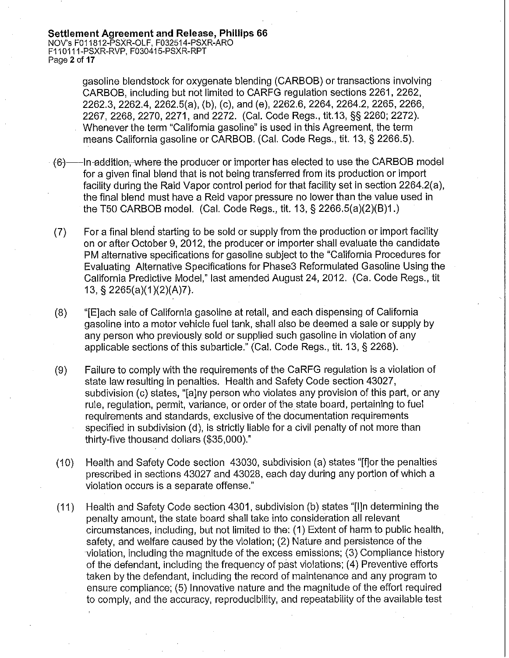gasoline blendstock for oxygenate blending (CARBOB) or transactions involving CARBOB, including but not limited to CARFG regulation sections 2261, 2262, 2262.3, 2262.4, 2262.5(a), (b), (c), and (e), 2262.6, 2264, 2264.2, 2265, 2266, 2267, 2268, 2270, 2271, and 2272. (Cal. Code Regs., tit.13, §§ 2260; 2272). Whenever the term "California gasoline" is used in this Agreement, the term means California gasoline or CARBOB. (Cal. Code Regs., tit. 13, § 2266.5).

- $(6)$  ---In-addition, where the producer or importer has elected to use the CARBOB model for a given final blend that is not being transferred from its production or import facility during the Raid Vapor control period for that facility set in section 2264.2(a), the final blend must have a Reid vapor pressure no lower than the value used in the T50 CARBOB model. (Cal. Code Regs., tit. 13, § 2266.5(a)(2)(B)1.)
- (7) For a final blend starting to be sold or supply from the production or import facility on or after October 9, 2012, the producer or importer shall evaluate the candidate PM alternative specifications for gasoline subject to the "California Procedures for Evaluating Alternative Specifications for Phase3 Reformulated Gasoline Using the California Predictive Model," last amended August 24, 2012. (Ca. Code Regs., tit 13, § 2265(a)(1 )(2)(A)7).
- (8) "[E]ach sale of California gasoline at retail, and each dispensing of California gasoline into a motor vehicle fuel tank, shall also be deemed a sale or supply by any person who previously sold or supplied such gasoline in violation of any applicable sections of this subarticle." (Cal. Code Regs., tit. 13, § 2268).
- (9) Failure to comply with the requirements of the CaRFG regulation is a violation of state law resulting in penalties. Health and Safety Code section 43027, subdivision (c) states, "[a]ny person who violates any provision of this part, or any rule, regulation, permit, variance, or order of the state board, pertaining to fuel requirements and standards, exclusive of the documentation requirements specified in subdivision (d), is strictly liable for a civil penalty of not more than thirty-five thousand dollars (\$35,000)."
- (10) Health and Safety Code section 43030, subdivision (a) states "[f]or the penalties prescribed in sections 43027 and 43028, each day during any portion of which a violation occurs is a separate offense."
- (11) Health and Safety Code section 4301, subdivision (b) states "[l]n determining the penalty amount, the state board shall take into consideration all relevant circumstances, including, but not limited to the: (1) Extent of harm to public health, safety, and welfare caused by the violation; (2) Nature and persistence of the violation, including the magnitude of the excess emissions; (3) Compliance history of the defendant, including the frequency of past violations; (4) Preventive efforts taken by the defendant, including the record of maintenance and any program to ensure compliance; (5) Innovative nature and the magnitude of the effort required to comply, and the accuracy, reproducibility, and repeatability of the available test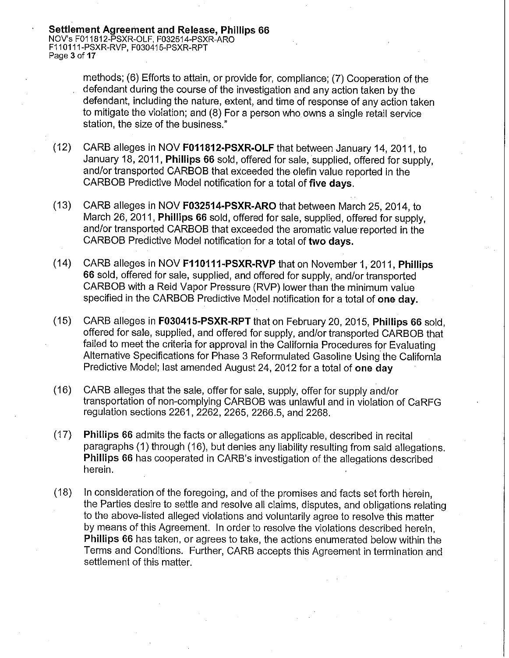**Settlement Agreement and Release, Phillips 66**  NOV's F011812-PSXR-OLF, F032514-PSXR-ARO F110111-PSXR-RVP, F030415-PSXR-RPT Page 3 of **17** 

> methods; (6) Efforts to attain, or provide for, compliance; (7) Cooperation of the defendant during the course of the investigation and any action taken by the defendant, including the nature, extent, and time of response of any action taken to mitigate the violation; and (8) For a person who owns a single retail service station, the size of the business."

- (12) GARB alleges in NOV **F011812-PSXR-OLF** that between January 14, 2011, to January 18, 2011, **Phillips 66** sold, offered for sale, supplied, offered for supply, and/or transported CARBOB that exceeded the olefin value reported in the CARBOB Predictive Model notification for a total of **five days.**
- (13) GARB alleges in NOV **F032514-PSXR-ARO** that between March 25, 2014, to March 26, 2011, **Phillips 66** sold, offered for sale, supplied, offered for supply, and/or transported CARBOB that exceeded the aromatic value reported in the CARBOB Predictive Model notification for a total of **two days.**
- (14) GARB alleges in NOV **F110111-PSXR-RVP** that on November 1, 2011, **Phillips 66** sold, offered for sale, supplied, and offered for supply, and/or transported CARBOB with a Reid Vapor Pressure (RVP) lower than the minimum value specified in the CARBOB Predictive Model notification for a total of **one day.**
- (15) GARB alleges in **F030415-PSXR-RPT** that on February 20, 2015, **Phillips 66** sold, offered for sale, supplied, and offered for supply, and/or transported CARBOB that failed to meet the criteria for approval in the California Procedures for Evaluating Alternative Specifications for Phase 3 Reformulated Gasoline Using the California Predictive Model; last amended August 24, 2012 for a total of **one day**
- (16) GARB alleges that the sale, offer for sale, supply, offer for supply and/or transportation of non-complying CARBOB was unlawful and in violation of CaRFG regulation sections 2261, 2262, 2265, 2266.5, and 2268.
- (17) **Phillips 66** admits the facts or allegations as applicable, described in recital paragraphs (1) through (16), but denies any liability resulting from said allegations. **Phillips 66** has cooperated in CARB's investigation of the allegations described herein.
- (18) In consideration of the foregoing, and of the promises and facts set forth herein, the Parties desire to settle and resolve all claims, disputes, and obligations relating to the above-listed alleged violations and voluntarily agree to resolve this matter by means of this Agreement. In order to resolve the violations described herein, **Phillips 66** has taken, or agrees to take, the actions enumerated below within the Terms and Conditions. Further, GARB accepts this Agreement in termination and settlement of this matter.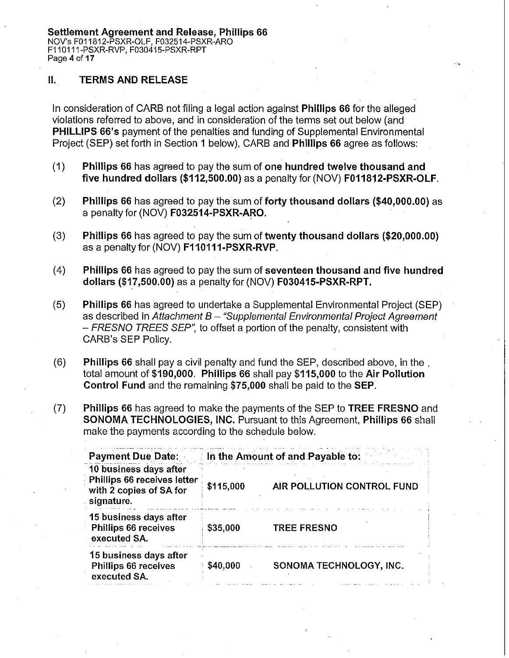# II. **TERMS AND RELEASE**

In consideration of CARB not filing a legal action against **Phillips 66** for the alleged violations referred to above, and in consideration of the terms set out below (and **PHILLIPS 66's** payment of the penalties and funding of Supplemental Environmental Project (SEP) set forth in Section 1 below), CARB and **Phillips 66** agree as follows:

- (1) **Phillips 66** has agreed to pay the sum of **one hundred twelve thousand and five hundred dollars ([\\$112,500.00](https://112,500.00))** as a penalty for (NOV) **F011812-PSXR-OLF.**
- (2) **Phillips 66** has agreed to pay the sum of **forty thousand dollars ([\\$40,000.00](https://40,000.00))** as a penalty for (NOV) **F032514-PSXR-ARO.**
- (3) **Phillips 66** has agreed to pay the sum of **twenty thousand dollars ([\\$20,000.00](https://20,000.00))**  as a penalty for (NOV) **F110111-PSXR-RVP.**
- (4) **Phillips 66** has agreed to pay the sum of **seventeen thousand and five hundred dollars ([\\$17,500.00](https://17,500.00))** as a penalty for (NOV) **F030415-PSXR-RPT.**
- (5) **Phillips 66** has agreed to undertake a Supplemental Environmental Project (SEP) as described in Attachment  $B -$  "Supplemental Environmental Project Agreement - FRESNO TREES SEP", to offset a portion of the penalty, consistent with CARB's SEP Policy.
- (6) **Phillips 66** shall pay a civil penalty and fund the SEP, described above, in the . total amount of **\$190,000. Phillips 66** shall pay **\$115,000** to the **Air Pollution Control Fund** and the remaining **\$75,000** shall be paid to the **SEP.**
- (7) **Phillips 66** has agreed to make the payments of the SEP to **TREE FRESNO** and **SONOMA TECHNOLOGIES, INC.** Pursuant to this Agreement, **Phillips 66** shall make the payments according to the schedule below.

| <b>Payment Due Date:</b>                                                                       | In the Amount of and Payable to: |                            |
|------------------------------------------------------------------------------------------------|----------------------------------|----------------------------|
| 10 business days after<br>Phillips 66 receives letter<br>with 2 copies of SA for<br>signature. | \$115,000                        | AIR POLLUTION CONTROL FUND |
| 15 business days after<br>Phillips 66 receives<br>executed SA.                                 | \$35,000                         | <b>TREE FRESNO</b>         |
| 15 business days after<br>Phillips 66 receives<br>executed SA.                                 | \$40,000                         | SONOMA TECHNOLOGY, INC.    |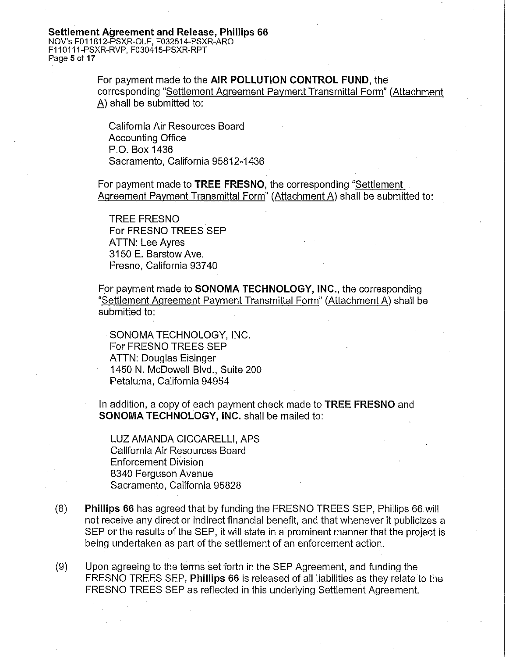#### **Settlement Agreement and Release, Phillips 66**  NOV's F011812-PSXR-OLF, F032514-PSXR-ARO F110111-PSXR-RVP, FD30415-PSXR-RPT Page **5** of **17**

For payment made to the **AIR POLLUTION CONTROL FUND,** the corresponding "Settlement Agreement Payment Transmittal Form" (Attachment A) shall be submitted to:

California Air Resources Board Accounting Office P.O. Box 1436 Sacramento, California 95812-1436

For payment made to **TREE FRESNO,** the corresponding "Settlement Agreement Payment Transmittal Form" (Attachment A) shall be submitted to:

TREE FRESNO For FRESNO TREES SEP ATTN: Lee Ayres 3150 E. Barstow Ave. Fresno, California 93740

For payment made to **SONOMA TECHNOLOGY, INC.,** the corresponding "Settlement Agreement Payment Transmittal Form" (Attachment A) shall be submitted to:

SONOMA TECHNOLOGY, INC. For FRESNO TREES SEP ATTN: Douglas Eisinger 1450 N. McDowell Blvd., Suite 200 Petaluma, California 94954

In addition, a copy of each payment check made to **TREE FRESNO** and **SONOMA TECHNOLOGY, INC.** shall be mailed to:

LUZ AMANDA CICCARELLI, APS California Air Resources Board Enforcement Division 8340 Ferguson Avenue Sacramento, California 95828

- (8) **Phillips 66** has agreed that by funding the FRESNO TREES SEP, Phillips 66 will not receive any direct or indirect financial benefit, and that whenever it publicizes a SEP or the results of the SEP, it will state in a prominent manner that the project is being undertaken as part of the settlement of an enforcement action.
- (9) Upon agreeing to the terms set forth in the SEP Agreement, and funding the FRESNO TREES SEP, **Phillips 66** is released of all liabilities as they relate to the FRESNO TREES SEP as reflected in this underlying Settlement Agreement.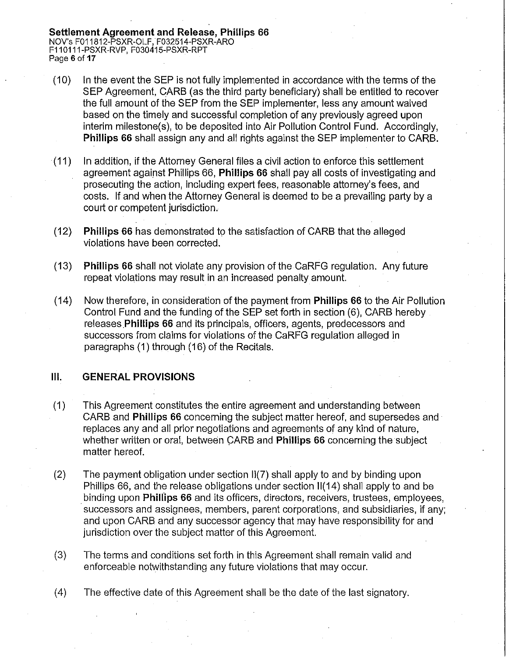**Settlement Agreement and Release, Phillips 66**  NO V's F011812-PSXR-OLF, F032514-PSXR-ARO F110111-PSXR-RVP, F030415-PSXR-RPT Page **6** of **17** 

- (10) In the event the SEP is not fully implemented in accordance with the terms of the SEP Agreement, CARS (as the third party beneficiary) shall be entitled to recover the full amount of the SEP from the SEP implementer, less any amount waived based on the timely and successful completion of any previously agreed upon interim milestone(s), to be deposited into Air Pollution Control Fund. Accordingly, **Phillips 66** shall assign any and all rights against the SEP implementer to CARS.
- (11) In addition, if the Attorney General files a civil action to enforce this settlement agreement against Phillips 66, **Phillips 66** shall pay all costs of investigating and prosecuting the action, including expert fees, reasonable attorney's fees, and costs. If and when the Attorney General is deemed to be a prevailing party by a court or competent jurisdiction.
- (12) **Phillips 66** has demonstrated tp the satisfaction of CARS that the alleged violations have been corrected.
- **(13) Phillips 66** shall not violate any provision of the CaRFG regulation. Any future repeat violations may result in an increased penalty amount.
- ( 14) Now therefore, in consideration of the payment from **Phillips 66** to the Air Pollution Control Fund and the funding of the SEP set forth in section (6), CARB hereby releases **Phillips 66** and its principals, officers, agents, predecessors and successors from claims for violations of the CaRFG regulation alleged in paragraphs ( 1) through ( 16) of the Recitals.

#### **Ill. GENERAL PROVISIONS**

- (1) This Agreement constitutes the entire agreement and understanding between CARB and **Phillips 66** concerning the subject matter hereof, and supersedes and replaces any and all prior negotiations and agreements of any kind of nature, whether written or oral, between CARB and **Phillips 66** concerning the subject matter hereof.
- (2) The payment obligation under section 11(7) shall apply to and by binding upon Phillips 66, and the release obligations under section 11(14) shall apply to and be binding upon **Phillips 66** and its officers, directors, receivers, trustees, employees, successors and assignees, members, parent corporations, and subsidiaries, if any; and upon CARS and any successdr agency that may have responsibility for and jurisdiction over the subject matter of this Agreement.
- (3) The terms and conditions set forth in this Agreement shall remain valid and enforceable notwithstanding any future violations that may occur.
- (4) The effective date of this Agreement shall be the date of the last signatory.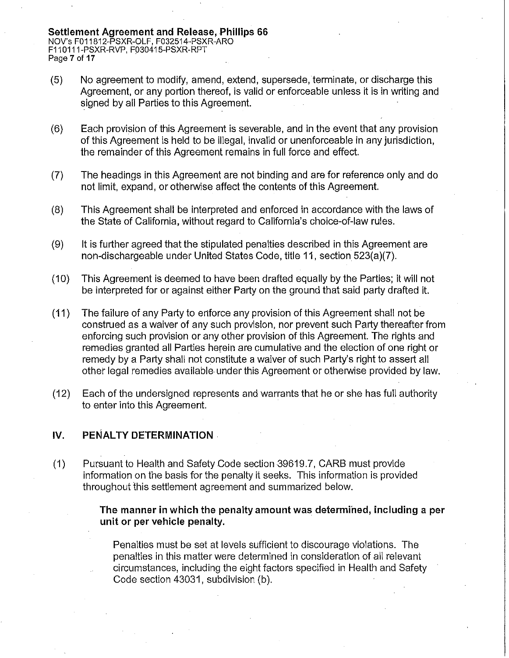- (5) No agreement to modify, amend, extend, supersede, terminate, or discharge this Agreement, or any portion thereof, is valid or enforceable unless it is in writing and signed by all Parties to this Agreement.
- (6) Each provision of this Agreement is severable, and in the event that any provision of this Agreement is held to be illegal, invalid or unenforceable in any jurisdiction, the remainder of this Agreement remains in full force and effect.
- (7) The headings in this Agreement are not binding and are for reference only and do not limit, expand, or otherwise affect the contents of this Agreement.
- (8) This Agreement shall be interpreted and enforced in accordance with the laws of the State of California, without regard to California's choice-of-law rules.
- (9) It is further agreed that the stipulated penalties described in this Agreement are non-dischargeable under United States Code, title 11, section 523(a)(7).
- (10) This Agreement is deemed to have been drafted equally by the Parties; it will not be interpreted for or against either Party on the ground that said party drafted it.
- (11) The failure of any Party to enforce any provision of this Agreement shall not be construed as a waiver of any such provision, nor prevent such Party thereafter from enforcing such provision or any other provision of this Agreement. The rights and remedies granted all Parties herein are cumulative and the election of one right or remedy by a Party shall not constitute a waiver of such Party's right to assert all other legal remedies available- under this Agreement or otherwise provided by law.
- (12) Each of the undersigned represents and warrants that he or she has full authority to enter into this Agreement.

#### IV. PENALTY DETERMINATION

(1) Pursuant to Health and Safety Code section 39619.7, CARB must provide information on the basis for the penalty it seeks. This information is provided throughout this settlement agreement and summarized below.

#### **The manner in which the penalty amount was determined, including a per unit or per vehicle penalty.**

Penalties must be set at levels sufficient to discourage violations. The penalties in this matter were determined in consideration of all relevant circumstances, including the eight factors specified in Health and Safety Code section 43031, subdivision (b).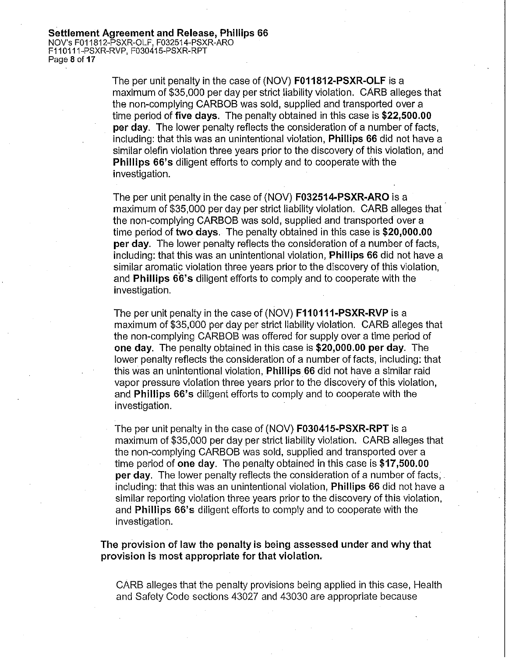The per unit penalty in the case of (NOV) **F011812-PSXR-OLF** is a maximum of \$35,000 per day per strict liability violation. CARB alleges that the non-complying CARBOB was sold, supplied and transported over a time period of **five days.** The penalty obtained in this case is **\$[22,500.00](https://22,500.00) per day.** The lower penalty reflects the consideration of a number of facts, including: that this was an unintentional violation, **Phillips 66** did not have a similar olefin violation three years prior to the discovery of this violation, and **Phillips 66's diligent efforts to comply and to cooperate with the** investigation.

The per unit penalty in the case of (NOV) **F032514-PSXR-ARO** is a maximum of \$35,000 per day per strict liability violation. CARB alleges that the non-complying CARBOB was sold, supplied and transported over a time period of **two days.** The penalty obtained in this case is **[\\$20,000.00](https://20,000.00) per day.** The lower penalty reflects the consideration of a number of facts, including: that this was an unintentional violation, **Phillips 66** did not have a similar aromatic violation three years prior to the discovery of this violation, and **Phillips 66's** diligent efforts to comply and to cooperate with the investigation.

The per unit penalty in the case of (NOV) **F110111-PSXR-RVP** is a maximum of \$35,000 per day per strict liability violation. CARB alleges that the non-complying CARBOB was offered for supply over a time period of **one day.** The penalty obtained in this case is **\$[20,000.00](https://20,000.00) per day.** The lower penalty reflects the consideration of a number of facts, including: that this was an unintentional violation, **Phillips 66** did not have a similar raid vapor pressure violation three years prior to the discovery of this violation, and **Phillips 66's** diligent efforts to comply and to cooperate with the investigation.

The per unit penalty in the case of (NOV) **F030415-PSXR-RPT** is a maximum of \$35,000 per day per strict liability violation. CARB alleges that the non-complying CARBOB was sold, supplied and transported over a time period of one day. The penalty obtained in this case is \$[17,500.00](https://17,500.00) **per day.** The lower penalty reflects the consideration of a number of facts, including: that this was an unintentional violation, **Phillips 66** did not have a similar reporting violation three years prior to the discovery of this violation, and **Phillips 66's** diligent efforts to comply and to cooperate with the investigation.

**The provision of law the penalty is being assessed under and why that provision is most appropriate for that violation.** 

CARB alleges that the penalty provisions being applied in this case, Health and Safety Code sections 43027 and 43030 are appropriate because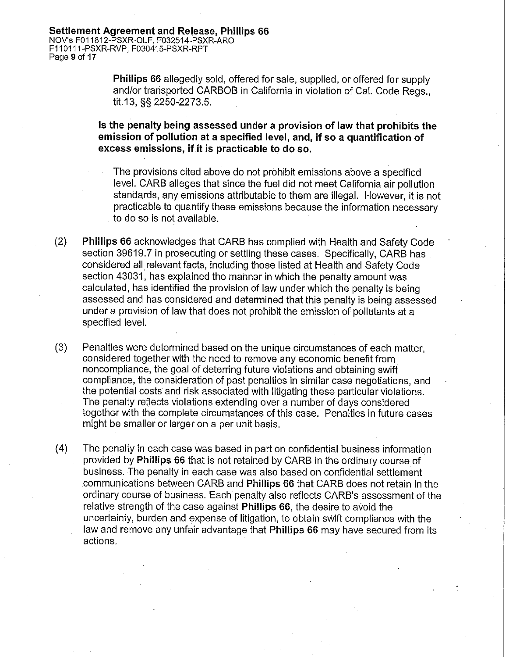**Phillips 66** allegedly sold, offered for sale, supplied, or offered for supply and/or transported CARBOB in California in violation of Cal. Code Regs., tit.13, §§ 2250-2273.5.

**Is the penalty being assessed under a provision of law that prohibits the emission of pollution at a specified level, and, if so a quantification of excess emissions, ifit is practicable to do so.** 

The provisions cited above do not prohibit emissions above a specified level. CARB alleges that since the fuel did not meet California air pollution standards, any emissions attributable to them are illegal. However, it is not practicable to quantify these emissions because the information necessary to do so is not available.

- (2) **Phillips 66** acknowledges that CARB has complied with Health and Safety Code section 39619.7 in prosecuting or settling these cases. Specifically, CARB has considered all relevant facts, including those listed at Health and Safety Code section 43031, has explained the manner in which the penalty amount was calculated, has identified the provision of law under which the penalty is being assessed and has considered and determined that this penalty is being assessed under a provision of law that does not prohibit the emission of pollutants at a specified level.
- (3) Penalties were determined based on the unique circumstances of each matter, considered together with the need to remove any economic benefit from noncompliance, the goal of deterring future violations and obtaining swift compliance, the consideration of past penalties in similar case negotiations, and the potential costs and risk associated with litigating these particular violations. The penalty reflects violations extending over a number of days considered together with the complete circumstances of this case. Penalties in future cases might be smaller or larger on a per unit basis.
- (4) The penalty in each case was based in part on confidential business information provided by **Phillips 66** that is not retained by CARB in the ordinary course of business. The penalty in each case was also based on confidential settlement communications between CARB and **Phillips 66** that CARB does not retain in the ordinary course of business. Each penalty also reflects CARB's assessment of the relative strength of the case against **Phillips 66,** the desire to avoid the uncertainty, burden and expense of litigation, to obtain swift compliance with the law and remove any unfair advantage that **Phillips 66** may have secured from its actions.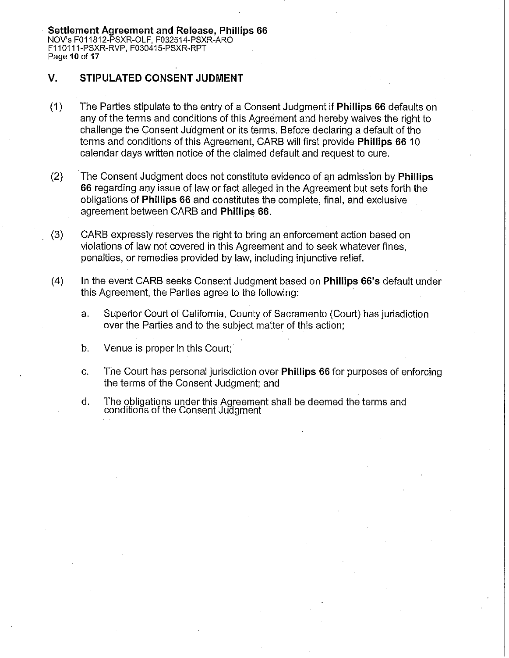**Settlement Agreement and Release, Phillips 66**  NOV's F011812-PSXR-OLF, F0.32514-PSXR-ARO F110111-PSXR-RVP, F030415-PSXR-RPT Page **10 of 17** 

### **V. STIPULATED CONSENT JUDMENT**

- (1) The Parties stipulate to the entry of a Consent Judgment if **Phillips 66** defaults on any of the terms and conditions of this Agreement and hereby waives the right to challenge the Consent Judgment or its terms. Before declaring a default of the terms and conditions of this Agreement, GARB will first provide **Phillips 66** 1 O calendar days written notice of the claimed default and request to cure.
- (2) The Consent Judgment does not constitute evidence of an admission by **Phillips 66** regarding any issue of law or fact alleged in the Agreement but sets forth the obligations of **Phillips 66** and constitutes the complete, final, and exclusive agreement between GARB and **Phillips 66.**
- (3) GARB expressly reserves the right to bring an enforcement action based on violations of law not covered in this Agreement and to seek whatever fines, penalties, or remedies provided by law, including injunctive relief.
- (4) In the event GARB seeks Consent Judgment based on **Phillips 66's** default under this Agreement, the Parties agree to the following:
	- a. Superior Court of California, County of Sacramento (Court) has jurisdiction over the Parties and to the subject matter of this action;
	- b. Venue is proper in this Court;
	- c. The Court has personal jurisdiction over **Phillips 66** for purposes of enforcing the terms of the Consent Judgment; and
	- d. The obligations under this Agreement shall be deemed the terms and conditions of the Consent Juagment